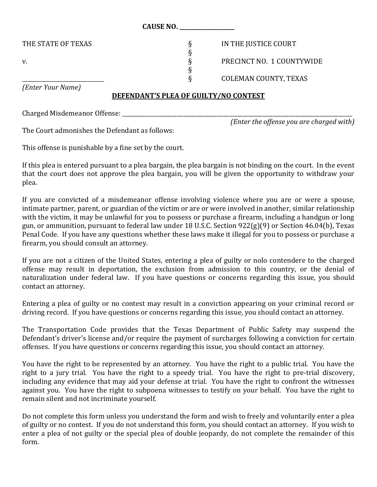|                    | <b>CAUSE NO.</b>             |
|--------------------|------------------------------|
| THE STATE OF TEXAS | IN THE JUSTICE COURT         |
| V.                 | PRECINCT NO. 1 COUNTYWIDE    |
|                    | <b>COLEMAN COUNTY, TEXAS</b> |
| (Enter Your Name)  |                              |

## **DEFENDANT'S PLEA OF GUILTY/NO CONTEST**

Charged Misdemeanor Offense: \_\_\_\_\_\_\_\_\_\_\_\_\_\_\_\_\_\_\_\_\_\_\_\_\_\_\_\_\_\_\_\_\_\_\_\_\_\_\_\_\_\_\_\_\_\_\_\_\_\_\_\_\_\_\_\_\_\_\_\_\_\_\_\_\_\_\_\_\_\_\_\_\_\_\_\_\_\_\_\_\_\_\_\_

*(Enter the offense you are charged with)*

The Court admonishes the Defendant as follows:

This offense is punishable by a fine set by the court.

If this plea is entered pursuant to a plea bargain, the plea bargain is not binding on the court. In the event that the court does not approve the plea bargain, you will be given the opportunity to withdraw your plea.

If you are convicted of a misdemeanor offense involving violence where you are or were a spouse, intimate partner, parent, or guardian of the victim or are or were involved in another, similar relationship with the victim, it may be unlawful for you to possess or purchase a firearm, including a handgun or long gun, or ammunition, pursuant to federal law under 18 U.S.C. Section 922(g)(9) or Section 46.04(b), Texas Penal Code. If you have any questions whether these laws make it illegal for you to possess or purchase a firearm, you should consult an attorney.

If you are not a citizen of the United States, entering a plea of guilty or nolo contendere to the charged offense may result in deportation, the exclusion from admission to this country, or the denial of naturalization under federal law. If you have questions or concerns regarding this issue, you should contact an attorney.

Entering a plea of guilty or no contest may result in a conviction appearing on your criminal record or driving record. If you have questions or concerns regarding this issue, you should contact an attorney.

The Transportation Code provides that the Texas Department of Public Safety may suspend the Defendant's driver's license and/or require the payment of surcharges following a conviction for certain offenses. If you have questions or concerns regarding this issue, you should contact an attorney.

You have the right to be represented by an attorney. You have the right to a public trial. You have the right to a jury trial. You have the right to a speedy trial. You have the right to pre-trial discovery, including any evidence that may aid your defense at trial. You have the right to confront the witnesses against you. You have the right to subpoena witnesses to testify on your behalf. You have the right to remain silent and not incriminate yourself.

Do not complete this form unless you understand the form and wish to freely and voluntarily enter a plea of guilty or no contest. If you do not understand this form, you should contact an attorney. If you wish to enter a plea of not guilty or the special plea of double jeopardy, do not complete the remainder of this form.